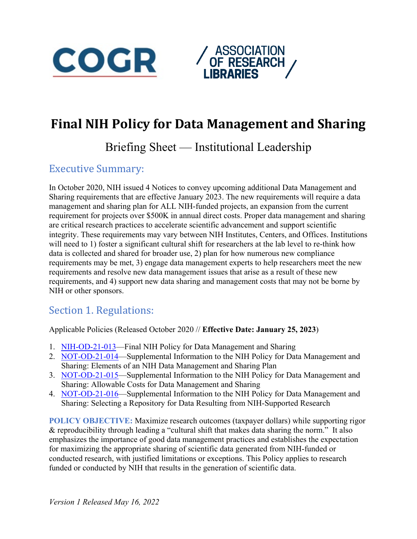



# **Final NIH Policy for Data Management and Sharing**

# Briefing Sheet — Institutional Leadership

# Executive Summary:

In October 2020, NIH issued 4 Notices to convey upcoming additional Data Management and Sharing requirements that are effective January 2023. The new requirements will require a data management and sharing plan for ALL NIH-funded projects, an expansion from the current requirement for projects over \$500K in annual direct costs. Proper data management and sharing are critical research practices to accelerate scientific advancement and support scientific integrity. These requirements may vary between NIH Institutes, Centers, and Offices. Institutions will need to 1) foster a significant cultural shift for researchers at the lab level to re-think how data is collected and shared for broader use, 2) plan for how numerous new compliance requirements may be met, 3) engage data management experts to help researchers meet the new requirements and resolve new data management issues that arise as a result of these new requirements, and 4) support new data sharing and management costs that may not be borne by NIH or other sponsors.

### Section 1. Regulations:

Applicable Policies (Released October 2020 // **Effective Date: January 25, 2023**)

- 1. [NIH-OD-21-013—](https://grants.nih.gov/grants/guide/notice-files/NOT-OD-21-013.html)Final NIH Policy for Data Management and Sharing
- 2. [NOT-OD-21-014—](https://grants.nih.gov/grants/guide/notice-files/NOT-OD-21-014.html)Supplemental Information to the NIH Policy for Data Management and Sharing: Elements of an NIH Data Management and Sharing Plan
- 3. [NOT-OD-21-015—](https://grants.nih.gov/grants/guide/notice-files/NOT-OD-21-015.html)Supplemental Information to the NIH Policy for Data Management and Sharing: Allowable Costs for Data Management and Sharing
- 4. [NOT-OD-21-016—](https://grants.nih.gov/grants/guide/notice-files/NOT-OD-21-016.html)Supplemental Information to the NIH Policy for Data Management and Sharing: Selecting a Repository for Data Resulting from NIH-Supported Research

**POLICY OBJECTIVE:** Maximize research outcomes (taxpayer dollars) while supporting rigor & reproducibility through leading a "cultural shift that makes data sharing the norm." It also emphasizes the importance of good data management practices and establishes the expectation for maximizing the appropriate sharing of scientific data generated from NIH-funded or conducted research, with justified limitations or exceptions. This Policy applies to research funded or conducted by NIH that results in the generation of scientific data.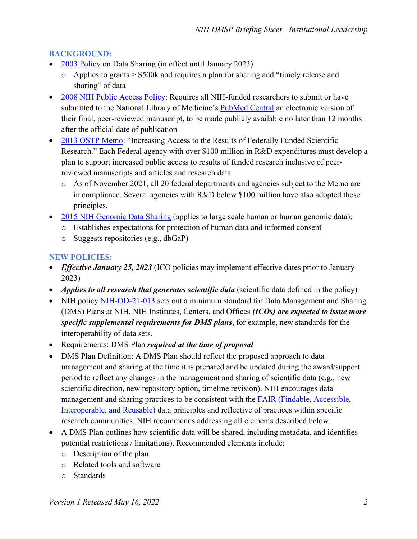### **BACKGROUND:**

- [2003 Policy](https://sharing.nih.gov/data-management-and-sharing-policy/about-data-management-sharing-policy/data-management-and-sharing-policy-overview) on Data Sharing (in effect until January 2023)
	- o Applies to grants > \$500k and requires a plan for sharing and "timely release and sharing" of data
- [2008 NIH Public Access Policy:](https://publicaccess.nih.gov/policy.htm) Requires all NIH-funded researchers to submit or have submitted to the National Library of Medicine's [PubMed Central](https://www.ncbi.nlm.nih.gov/pmc/) an electronic version of their final, peer-reviewed manuscript, to be made publicly available no later than 12 months after the official date of publication
- [2013 OSTP Memo:](https://obamawhitehouse.archives.gov/sites/default/files/microsites/ostp/ostp_public_access_memo_2013.pdf) "Increasing Access to the Results of Federally Funded Scientific Research." Each Federal agency with over \$100 million in R&D expenditures must develop a plan to support increased public access to results of funded research inclusive of peerreviewed manuscripts and articles and research data.
	- o As of November 2021, all 20 federal departments and agencies subject to the Memo are in compliance. Several agencies with R&D below \$100 million have also adopted these principles.
- [2015 NIH Genomic Data Sharing](https://osp.od.nih.gov/scientific-sharing/genomic-data-sharing/) (applies to large scale human or human genomic data):
	- o Establishes expectations for protection of human data and informed consent
	- o Suggests repositories (e.g., dbGaP)

### **NEW POLICIES:**

- *Effective January 25, 2023* (ICO policies may implement effective dates prior to January 2023)
- *Applies to all research that generates scientific data* (scientific data defined in the policy)
- NIH policy [NIH-OD-21-013](https://grants.nih.gov/grants/guide/notice-files/NOT-OD-21-013.html) sets out a minimum standard for Data Management and Sharing (DMS) Plans at NIH. NIH Institutes, Centers, and Offices *(ICOs) are expected to issue more specific supplemental requirements for DMS plans*, for example, new standards for the interoperability of data sets.
- Requirements: DMS Plan *required at the time of proposal*
- DMS Plan Definition: A DMS Plan should reflect the proposed approach to data management and sharing at the time it is prepared and be updated during the award/support period to reflect any changes in the management and sharing of scientific data (e.g., new scientific direction, new repository option, timeline revision). NIH encourages data management and sharing practices to be consistent with the [FAIR \(Findable, Accessible,](https://www.go-fair.org/fair-principles/)  [Interoperable, and Reusable\)](https://www.go-fair.org/fair-principles/) data principles and reflective of practices within specific research communities. NIH recommends addressing all elements described below.
- A DMS Plan outlines how scientific data will be shared, including metadata, and identifies potential restrictions / limitations). Recommended elements include:
	- o Description of the plan
	- o Related tools and software
	- o Standards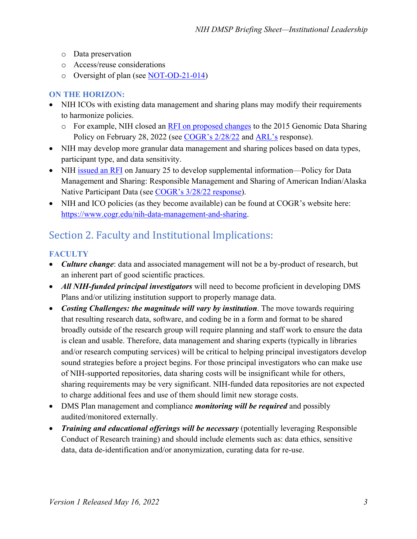- o Data preservation
- o Access/reuse considerations
- o Oversight of plan (see [NOT-OD-21-014\)](https://grants.nih.gov/grants/guide/notice-files/NOT-OD-21-014.html)

### **ON THE HORIZON:**

- NIH ICOs with existing data management and sharing plans may modify their requirements to harmonize policies.
	- o For example, NIH closed an [RFI on proposed changes](https://grants.nih.gov/grants/guide/notice-files/NOT-OD-22-029.html) to the 2015 Genomic Data Sharing Policy on February 28, 2022 (see [COGR's 2/28/22](https://www.cogr.edu/sites/default/files/NIH%20GDS%20letter%202-28-22%20-%20final%20%281%29.pdf) and [ARL's](https://www.arl.org/news/arl-comments-on-draft-genomic-data-management-and-sharing-policy/) response).
- NIH may develop more granular data management and sharing polices based on data types, participant type, and data sensitivity.
- NIH [issued an RFI](https://grants.nih.gov/grants/guide/notice-files/NOT-OD-22-064.html) on January 25 to develop supplemental information—Policy for Data Management and Sharing: Responsible Management and Sharing of American Indian/Alaska Native Participant Data (see [COGR's 3/28/22 response\)](https://www.cogr.edu/sites/default/files/COGR%20Response_NIH%20NOT%20OD%2022%20064.pdf).
- NIH and ICO policies (as they become available) can be found at COGR's website here: [https://www.cogr.edu/nih-data-management-and-sharing.](https://www.cogr.edu/nih-data-management-and-sharing)

# Section 2. Faculty and Institutional Implications:

### **FACULTY**

- *Culture change*: data and associated management will not be a by-product of research, but an inherent part of good scientific practices.
- *All NIH-funded principal investigators* will need to become proficient in developing DMS Plans and/or utilizing institution support to properly manage data.
- *Costing Challenges: the magnitude will vary by institution*. The move towards requiring that resulting research data, software, and coding be in a form and format to be shared broadly outside of the research group will require planning and staff work to ensure the data is clean and usable. Therefore, data management and sharing experts (typically in libraries and/or research computing services) will be critical to helping principal investigators develop sound strategies before a project begins. For those principal investigators who can make use of NIH-supported repositories, data sharing costs will be insignificant while for others, sharing requirements may be very significant. NIH-funded data repositories are not expected to charge additional fees and use of them should limit new storage costs.
- DMS Plan management and compliance *monitoring will be required* and possibly audited/monitored externally.
- *Training and educational offerings will be necessary* (potentially leveraging Responsible Conduct of Research training) and should include elements such as: data ethics, sensitive data, data de-identification and/or anonymization, curating data for re-use.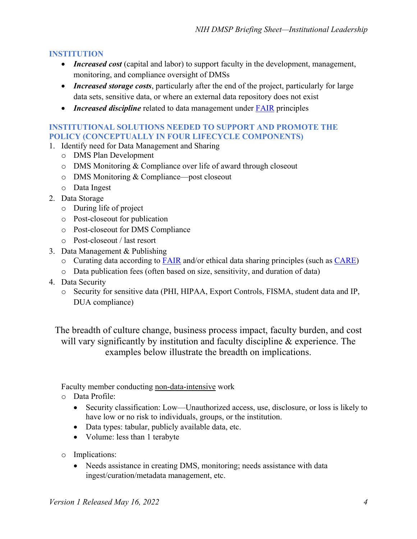#### **INSTITUTION**

- *Increased cost* (capital and labor) to support faculty in the development, management, monitoring, and compliance oversight of DMSs
- *Increased storage costs*, particularly after the end of the project, particularly for large data sets, sensitive data, or where an external data repository does not exist
- *Increased discipline* related to data management under **FAIR** principles

#### **INSTITUTIONAL SOLUTIONS NEEDED TO SUPPORT AND PROMOTE THE POLICY (CONCEPTUALLY IN FOUR LIFECYCLE COMPONENTS)**

- 1. Identify need for Data Management and Sharing
	- o DMS Plan Development
	- o DMS Monitoring & Compliance over life of award through closeout
	- o DMS Monitoring & Compliance—post closeout
	- o Data Ingest
- 2. Data Storage
	- o During life of project
	- o Post-closeout for publication
	- o Post-closeout for DMS Compliance
	- o Post-closeout / last resort
- 3. Data Management & Publishing
	- $\circ$  Curating data according to **FAIR** and/or ethical data sharing principles (such as **CARE**)
	- o Data publication fees (often based on size, sensitivity, and duration of data)
- 4. Data Security
	- o Security for sensitive data (PHI, HIPAA, Export Controls, FISMA, student data and IP, DUA compliance)

The breadth of culture change, business process impact, faculty burden, and cost will vary significantly by institution and faculty discipline & experience. The examples below illustrate the breadth on implications.

Faculty member conducting non-data-intensive work

- o Data Profile:
	- Security classification: Low—Unauthorized access, use, disclosure, or loss is likely to have low or no risk to individuals, groups, or the institution.
	- Data types: tabular, publicly available data, etc.
	- Volume: less than 1 terabyte
- o Implications:
	- Needs assistance in creating DMS, monitoring; needs assistance with data ingest/curation/metadata management, etc.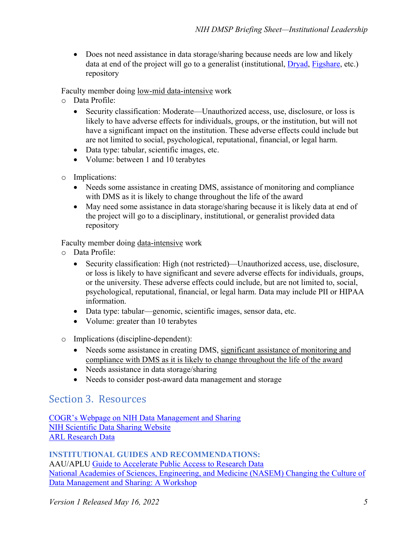• Does not need assistance in data storage/sharing because needs are low and likely data at end of the project will go to a generalist (institutional, [Dryad,](https://datadryad.org/stash) [Figshare,](https://figshare.com/) etc.) repository

Faculty member doing low-mid data-intensive work

- o Data Profile:
	- Security classification: Moderate—Unauthorized access, use, disclosure, or loss is likely to have adverse effects for individuals, groups, or the institution, but will not have a significant impact on the institution. These adverse effects could include but are not limited to social, psychological, reputational, financial, or legal harm.
	- Data type: tabular, scientific images, etc.
	- Volume: between 1 and 10 terabytes
- o Implications:
	- Needs some assistance in creating DMS, assistance of monitoring and compliance with DMS as it is likely to change throughout the life of the award
	- May need some assistance in data storage/sharing because it is likely data at end of the project will go to a disciplinary, institutional, or generalist provided data repository

Faculty member doing data-intensive work

- o Data Profile:
	- Security classification: High (not restricted)—Unauthorized access, use, disclosure, or loss is likely to have significant and severe adverse effects for individuals, groups, or the university. These adverse effects could include, but are not limited to, social, psychological, reputational, financial, or legal harm. Data may include PII or HIPAA information.
	- Data type: tabular—genomic, scientific images, sensor data, etc.
	- Volume: greater than 10 terabytes
- o Implications (discipline-dependent):
	- Needs some assistance in creating DMS, significant assistance of monitoring and compliance with DMS as it is likely to change throughout the life of the award
	- Needs assistance in data storage/sharing
	- Needs to consider post-award data management and storage

### Section 3. Resources

[COGR's Webpage on NIH Data Management and Sharing](https://www.cogr.edu/nih-data-management-and-sharing) [NIH Scientific Data Sharing Website](https://sharing.nih.gov/data-management-and-sharing-policy/about-data-management-sharing-policy/data-management-and-sharing-policy-overview) [ARL Research Data](https://www.arl.org/research-data/)

**INSTITUTIONAL GUIDES AND RECOMMENDATIONS:** AAU/APLU [Guide to Accelerate Public Access to Research Data](https://www.aau.edu/sites/default/files/AAU-Files/Key-Issues/Public%20Access/AAU%20APLU%20Guide%20to%20Accelerate%20Public%20Access%20to%20Research%20Data.pdf) [National Academies of Sciences, Engineering, and Medicine \(NASEM\) Changing the Culture of](https://www.nationalacademies.org/event/04-29-2021/changing-the-culture-of-data-management-and-sharing-a-workshop)  [Data Management and Sharing: A Workshop](https://www.nationalacademies.org/event/04-29-2021/changing-the-culture-of-data-management-and-sharing-a-workshop)